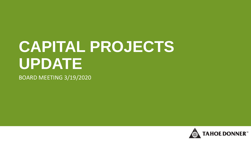## **CAPITAL PROJECTS UPDATE**

BOARD MEETING 3/19/2020

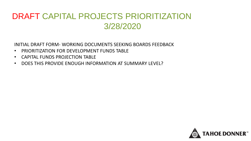## DRAFT CAPITAL PROJECTS PRIORITIZATION 3/28/2020

INITIAL DRAFT FORM- WORKING DOCUMENTS SEEKING BOARDS FEEDBACK

- PRIORITIZATION FOR DEVELOPMENT FUNDS TABLE
- CAPITAL FUNDS PROJECTION TABLE
- DOES THIS PROVIDE ENOUGH INFORMATION AT SUMMARY LEVEL?

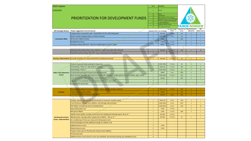| 2020 Update                            |                                                                                                             | Sort#                                  | <b>Definitions</b>            |                                                                        |        |                                              |                                                                                                            |  |
|----------------------------------------|-------------------------------------------------------------------------------------------------------------|----------------------------------------|-------------------------------|------------------------------------------------------------------------|--------|----------------------------------------------|------------------------------------------------------------------------------------------------------------|--|
| 3/20/2020                              |                                                                                                             | $\mathbf{1}$                           | <b>Needs</b>                  |                                                                        |        |                                              |                                                                                                            |  |
|                                        |                                                                                                             | $\overline{2}$                         | Wants                         |                                                                        |        |                                              |                                                                                                            |  |
|                                        |                                                                                                             | 3                                      | Operational                   |                                                                        |        |                                              |                                                                                                            |  |
|                                        | <b>PRIORITIZATION FOR DEVELOPMENT FUNDS</b>                                                                 | $\overline{4}$                         | Not in Vision of Tahoe Donner |                                                                        |        |                                              |                                                                                                            |  |
|                                        |                                                                                                             | 6                                      |                               | Already located in To wn of Truckee<br>Already located in Tahoe Donner |        |                                              |                                                                                                            |  |
|                                        |                                                                                                             |                                        | Project Completed             |                                                                        |        |                                              |                                                                                                            |  |
|                                        |                                                                                                             |                                        | Requires further review       |                                                                        |        |                                              |                                                                                                            |  |
|                                        |                                                                                                             | $\overline{9}$                         | Not viable at this time       |                                                                        |        |                                              |                                                                                                            |  |
| <b>GPC Strategic Review</b>            | Project suggestions from all sources                                                                        | <b>Evaluation Team Est. Cost Range</b> |                               | Est. Project Length<br><b>Timeline</b>                                 | Const. | Proposed Year Member Bennefit<br>(Rated 0-5) | (Rated L, M, H)                                                                                            |  |
|                                        | Fueling stations association wide - Downhill Ski, XC Ski, Golf fueling pads                                 | $\mathbf{1}$                           | \$1M-\$3M                     | 1-3 Years                                                              | $10+$  | $\overline{0}$                               |                                                                                                            |  |
|                                        | Electric vehicle charging stations at select amenities                                                      | $\overline{2}$                         | \$100K-\$500K                 | 1 Year                                                                 | $10+$  | $\overline{2}$                               | $\mathbf{L}$                                                                                               |  |
| <b>Association Wide</b>                | 40 Acre Eur Valley Purchase                                                                                 | $2^{\circ}$                            | <b>\$400K</b>                 |                                                                        | 2025   | $\overline{2}$                               | $\mathbf{L}$                                                                                               |  |
|                                        | Broadband to house                                                                                          | 8                                      | $$20M+$                       | 5+ Years                                                               |        | 5 <sup>1</sup>                               | $\mathsf{L}$                                                                                               |  |
|                                        | Undergrounding utility lines - Massive multiple agency project \$\$\$\$4                                    | $\overline{\mathbf{8}}$                | \$300M+                       | 5+ Years                                                               |        | $\mathbf 1$                                  | $\mathsf{L}$                                                                                               |  |
|                                        |                                                                                                             |                                        |                               |                                                                        |        |                                              |                                                                                                            |  |
|                                        | Adventure Zone with archery zone, treehouse, zipline area, bike skills, disk golf                           | $\mathbf 1$                            | \$1M-\$3M                     | 1-3 Years                                                              | 2028   | $\overline{3}$                               | $\mathsf{M}$                                                                                               |  |
|                                        | Downhill mountain biking, bike skills course, and pump track feasibility study                              | 8 <sup>°</sup>                         |                               | 1-2 Years                                                              |        |                                              |                                                                                                            |  |
|                                        |                                                                                                             |                                        |                               |                                                                        |        |                                              |                                                                                                            |  |
| <b>Housing-Subcommittee</b>            | Consider all options for Seasonal Workforce Employee Housing*                                               | $\mathbf{1}$                           | \$3M-\$8M                     | 3-5 Years                                                              | $10+$  | $\mathbf{0}$                                 | L                                                                                                          |  |
|                                        |                                                                                                             |                                        |                               |                                                                        |        |                                              |                                                                                                            |  |
|                                        | Paved or improved trailer parking for Equestrian                                                            | $\overline{2}$                         | \$100K-\$500K                 | 1-2 Years                                                              | $10+$  | A                                            | $\mathbf{L}$                                                                                               |  |
|                                        | Snowmaking - Phase 1,2 with total of 3 phases                                                               | $\blacksquare$                         | \$500K-\$1M                   | 1-2 Years                                                              | 2021   | z.                                           | H                                                                                                          |  |
|                                        | Snowmaking - Phase 3                                                                                        | $2^{\circ}$                            | \$100K-\$500K                 | 3-5 Years                                                              | $10+$  | $\overline{\mathbf{3}}$                      | $\mathsf{M}% _{T}=\mathsf{M}_{T}\!\left( a,b\right) ,\ \mathsf{M}_{T}=\mathsf{M}_{T}\!\left( a,b\right) ,$ |  |
|                                        | Fix Northside parking @ ski patrol entrance snowmelt                                                        | $\mathbf 1$                            | 200000                        | 1 year                                                                 | 2028   | $\sqrt{4}$                                   | L.                                                                                                         |  |
| <b>Alder Creek Adventure</b><br>Center | Back-up power for ACAC, (permanent structure with additional storage options for snowmobiles, signs, tools) | $\mathbf 1$                            | \$100K-\$500K                 | 1-3 Years                                                              | 2021   | $\mathbf{3}$                                 | $\mathbf{L}$                                                                                               |  |
|                                        | Cook House at Eur Valley with year round restrooms                                                          | $\overline{2}$                         | 500,000                       | $\overline{2}$                                                         | 2027   | $5\overline{5}$                              | $\mathbf{L}$                                                                                               |  |
|                                        | Upgrades to FIS standards for international nordic races and events                                         | $\boldsymbol{8}$                       |                               |                                                                        |        |                                              |                                                                                                            |  |
|                                        | Prepare ACAC master plan                                                                                    | 8                                      |                               |                                                                        |        |                                              |                                                                                                            |  |
|                                        |                                                                                                             |                                        |                               |                                                                        |        |                                              |                                                                                                            |  |
|                                        | New storage building at Forestry Facility to replace multiple storage containers                            | $\overline{2}$                         | \$500K-\$1M                   | 1-3 Years                                                              | 2026   | $\mathbf{0}$                                 |                                                                                                            |  |
| Forestry                               | Finish remodel upstairs offices                                                                             | $\mathbf{1}$                           | 100,000                       | $\mathbf{1}$                                                           | 2021   | $\circ$                                      | $\mathbf{L}$                                                                                               |  |
|                                        | New access road from Skislope with utilities                                                                | 8                                      | 1,000,000                     | 2 years                                                                | 2028   | $\mathbf{0}$                                 | L.                                                                                                         |  |
|                                        |                                                                                                             |                                        |                               |                                                                        |        |                                              |                                                                                                            |  |
|                                        |                                                                                                             |                                        |                               |                                                                        |        | $\overline{4}$                               |                                                                                                            |  |
|                                        | Parking capacity expansion (#1 priority based on numerous member input).                                    | $1\,$                                  | \$500K-\$1M                   | 2 Years                                                                | 2029   |                                              | L.<br>T.                                                                                                   |  |
|                                        | Trash enclosure, storage room addition, and drainage improvements                                           | $\mathbf 1$                            | \$100K-\$500K                 | 2 Years                                                                | 2021?  | $\mathbf{0}$                                 |                                                                                                            |  |
|                                        | POH Major remodel/Tap House including kitchen                                                               | $1\,$                                  | \$100K-\$500K                 | 2 Years                                                                | 2026   | 5 <sup>5</sup>                               | $\mathsf{M}\xspace$                                                                                        |  |
|                                        | <b>Expand Recreation Hut</b>                                                                                | $\overline{2}$                         | $<$ \$100 $k$                 | 1-2 Years                                                              |        | $\mathbf{0}$                                 | L.                                                                                                         |  |
|                                        | Mini golf at NWCH                                                                                           | $\overline{2}$                         | $<$ \$100 $k$                 | 1-2 Years                                                              | 2008   | $\overline{3}$                               | L.                                                                                                         |  |
|                                        | Jpdate Tennis facility, consider second story for meeting and viewing spaces, 4k sq. ft. *                  | $\sqrt{2}$                             | \$1M-\$3M                     | 3-5 Years                                                              |        |                                              | $\mathbf{L}$                                                                                               |  |
| <b>Northwoods Activity</b>             | Rebuild and/or remodel and/or update look of NWCH - 14K sq. ft. *                                           | $\overline{2}$                         | \$3M-\$8M                     | 5-15 Years                                                             | $10+$  | $1\,$                                        | $\mathbf{L}$                                                                                               |  |
| <b>Center-Subcommittee</b>             | Air-conditioning in Tennis pro shop and multi-purpose room                                                  | $\overline{\mathbf{3}}$                |                               |                                                                        |        |                                              |                                                                                                            |  |
|                                        | Enhanced playground with additional swings for children 5-18                                                | $\ensuremath{\mathsf{3}}$              |                               |                                                                        |        |                                              |                                                                                                            |  |
|                                        | <b>Additional bocce courts</b>                                                                              | $\boldsymbol{8}$                       | $<$ \$100 $k$                 |                                                                        |        |                                              |                                                                                                            |  |
|                                        | Shade at bocce courts                                                                                       | $\bf 8$                                | $<$ \$100 $k$                 |                                                                        |        |                                              |                                                                                                            |  |
|                                        | Prepare master plan for Northwoods Activity Center (NWAC)                                                   | $\mathbf{8}$                           |                               |                                                                        |        |                                              |                                                                                                            |  |
|                                        | Hot tub near pool                                                                                           | $\bf 8$                                |                               |                                                                        |        |                                              |                                                                                                            |  |
|                                        | - Additional tennis courts (tennis courts over pickleball, and prioritize parking over pickleball courts)   | $\bf 8$                                |                               |                                                                        |        |                                              |                                                                                                            |  |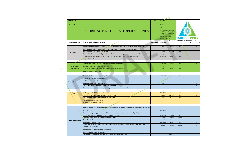| 2020 Update                                    |                                                                                                                                               | Sort #                                 | <b>Definitions</b>                          |                                        |                 |                                              |                                                                                                            |  |  |
|------------------------------------------------|-----------------------------------------------------------------------------------------------------------------------------------------------|----------------------------------------|---------------------------------------------|----------------------------------------|-----------------|----------------------------------------------|------------------------------------------------------------------------------------------------------------|--|--|
| 3/20/2020                                      |                                                                                                                                               | $\mathbf{I}$                           | <b>Needs</b>                                |                                        |                 |                                              |                                                                                                            |  |  |
|                                                |                                                                                                                                               | $\overline{2}$                         | Wants                                       |                                        |                 |                                              |                                                                                                            |  |  |
|                                                |                                                                                                                                               | в                                      | Operationa<br>Not in Vision of Tahoe Donner |                                        |                 |                                              |                                                                                                            |  |  |
|                                                | <b>PRIORITIZATION FOR DEVELOPMENT FUNDS</b>                                                                                                   |                                        |                                             | Already located in Town of Truckee     |                 |                                              |                                                                                                            |  |  |
|                                                |                                                                                                                                               | $\overline{ }$                         | <b>Project Completed</b>                    | Already located in Tahoe Donner        |                 |                                              |                                                                                                            |  |  |
|                                                |                                                                                                                                               | $\mathbf{R}$                           | <b>Requires further review</b>              |                                        |                 |                                              |                                                                                                            |  |  |
|                                                |                                                                                                                                               | $\overline{9}$                         | Not viable at this time                     |                                        |                 |                                              |                                                                                                            |  |  |
| <b>GPC Strategic Review</b>                    | Project suggestions from all sources                                                                                                          | <b>Evaluation Team Est. Cost Range</b> |                                             | <b>Est. Project Length</b><br>Timeline | Const           | Proposed Year Member Bennefit<br>(Rated 0-5) | <b>ROI</b><br>(Rated L, M, H)                                                                              |  |  |
|                                                |                                                                                                                                               |                                        |                                             |                                        |                 |                                              |                                                                                                            |  |  |
|                                                | New or remodeled Downhill Ski Lodge (\$12.6 - \$15 miliion assumes 21k-25k sq. ft. of space) - target 2023                                    | $\overline{1}$                         | $$8M+$                                      | 3-5 Years                              | 2023            | $\overline{5}$                               | M                                                                                                          |  |  |
|                                                | Snowmaking equipment at Eagle Rock chairlift (2019 /2020 Planning in progress) target 2020                                                    | $\overline{1}$                         | \$500K-\$1M                                 | 1 Year                                 | 2024            | $\overline{3}$                               | ${\sf M}$                                                                                                  |  |  |
|                                                | Replace Eagle Rock chairlift - target 2040 RRF                                                                                                | $\mathbf{1}$                           | \$1M-\$3M                                   | 10-15 Years                            | $10+$           | $\overline{3}$                               | $\mathbf{L}$                                                                                               |  |  |
| Downhill Ski Area                              | Regrade Mile Run - modify ski slopes to improve beginner experience planning in progress for 2020 construction                                | $\overline{2}$                         | \$100K-\$500K                               | 1 Year                                 | 2024            | $\overline{3}$                               | $\mathbf{L}$                                                                                               |  |  |
|                                                | Provide gallery covers for conveyors C2 and C3 for improved safety, operations, service levels                                                | $\overline{2}$                         | \$100K-\$500K                               | 1 Year                                 | RR <sub>2</sub> | ۱d                                           | $\mathbf{L}$                                                                                               |  |  |
|                                                | Prepare DSR master plan and business plan                                                                                                     | $\boldsymbol{8}$                       |                                             |                                        |                 |                                              |                                                                                                            |  |  |
|                                                |                                                                                                                                               |                                        |                                             |                                        |                 |                                              |                                                                                                            |  |  |
|                                                |                                                                                                                                               | $\overline{1}$                         | \$500K-\$1M                                 |                                        | $10+$           | $\overline{a}$                               |                                                                                                            |  |  |
|                                                | Water conservation, 500K gallon water tank/well/pump/case/heads                                                                               | $\overline{2}$                         |                                             | 2-3 Years                              |                 |                                              | T.                                                                                                         |  |  |
| <b>Golf Course -</b>                           | Shade structure over driving range tee boxes                                                                                                  |                                        | \$100K-\$500K                               | 1-2 Years                              | $10+$           | $\overline{\mathbf{3}}$                      |                                                                                                            |  |  |
| Subcommittee                                   | Consider golf course improvements to remain regionally competitive                                                                            | $\,$ 1 $\,$                            | RR                                          | 1 year                                 | 2020            | ă.                                           | L.                                                                                                         |  |  |
|                                                | Update golf course master plan                                                                                                                | $\overline{\mathbf{8}}$                |                                             |                                        |                 |                                              |                                                                                                            |  |  |
|                                                |                                                                                                                                               |                                        |                                             |                                        |                 |                                              |                                                                                                            |  |  |
|                                                | Expanded Kitchen and terrace seating with shade structure                                                                                     | $\overline{z}$                         | \$500K-\$1M                                 | $2 - 3$ Years                          | $10+$           | $\sqrt{4}$                                   | $\mathbf{L}$                                                                                               |  |  |
|                                                | New entrance, signage, improved lighting                                                                                                      | $\mathbf{g}$                           |                                             |                                        |                 | $\overline{1}$                               | $\mathbf{L}$                                                                                               |  |  |
| <b>Marina-Subcommittee</b>                     | Update Marina master plan                                                                                                                     | $\mathbf{R}$                           |                                             |                                        |                 |                                              |                                                                                                            |  |  |
|                                                | BBQ pit update to utilize beach hours                                                                                                         | $\mathbf{1}$                           | 2025                                        |                                        |                 | 5                                            | $\mathbf{L}$                                                                                               |  |  |
|                                                | Get rid of Boat Ramp and expand beach & utilize parking                                                                                       | $\mathbf{R}$                           |                                             |                                        |                 | $\Delta$                                     | $\mathsf{M}% _{T}=\mathsf{M}_{T}\!\left( a,b\right) ,\ \mathsf{M}_{T}=\mathsf{M}_{T}\!\left( a,b\right) ,$ |  |  |
|                                                | Third dock located south of existing boat ramp, for improved loading/unloading                                                                | $\boldsymbol{8}$                       |                                             |                                        |                 |                                              |                                                                                                            |  |  |
|                                                |                                                                                                                                               |                                        |                                             |                                        |                 |                                              |                                                                                                            |  |  |
| The Loage<br>Cuhrommittoo                      | Back-up power for kitchen and restaurant                                                                                                      | $\mathbf{1}$                           | \$100K-\$500K                               | 2-3 Years                              | 2027            | $\overline{\mathbf{3}}$                      | L                                                                                                          |  |  |
|                                                | Replace tent with new special event space and restrooms                                                                                       | $\overline{1}$                         | \$1M-\$3M                                   | 3-10 Years                             | 2029            | $\overline{\mathbf{3}}$                      | H                                                                                                          |  |  |
|                                                | Replace existing ramp with heated staircase and lighting                                                                                      | $\overline{1}$                         | 30k                                         | 1 Year                                 | 2020            | $\overline{\phantom{a}}$                     | $\mathbf{L}$                                                                                               |  |  |
|                                                | Recycle and refuse improvements                                                                                                               | $\overline{\mathbf{3}}$                |                                             |                                        |                 |                                              |                                                                                                            |  |  |
|                                                | Prepare master plan for The Lodge                                                                                                             | $\mathbf{8}$                           |                                             |                                        |                 |                                              |                                                                                                            |  |  |
|                                                |                                                                                                                                               |                                        |                                             |                                        |                 |                                              |                                                                                                            |  |  |
|                                                | Update Trails and Open Space master plan with consideration of all types of trail users and utilization, management,<br>policies, and funding | $\,$ 1 $\,$                            | $<$ \$100K                                  | 1 Year                                 |                 |                                              |                                                                                                            |  |  |
|                                                | South Euer Valley road: improvements                                                                                                          | $\,1\,$                                | \$100K-\$500K                               | 1-2 Years                              | 2021            | $\overline{3}$                               | $\mathbf{L}$                                                                                               |  |  |
|                                                | Coyote Crossing : bridge/puncheons with integrated perimeter fencing) - Requirement by LRWQCB                                                 | $\,$ 1 $\,$                            | \$500K-\$1M                                 | 2-3 Years                              | 2022            | 5                                            | $\mathbf{L}$                                                                                               |  |  |
| <b>Trails &amp; Open Space</b><br>Subcommittee | Glacier Way Trailhead: expansion and restroom improvement                                                                                     | $\,$ 1 $\,$                            | \$100K-\$500K                               | 2-5 Years                              | 2025            | $\overline{\mathbf{5}}$                      | $\mathbf{L}$                                                                                               |  |  |
|                                                | Complete unfnished 5YIP projects that remain prioritized                                                                                      | $\overline{\mathbf{2}}$                | \$1M-\$3M                                   | 1-5 Years                              | Ongoing         | $\overline{\mathbf{5}}$                      | $\mathbf{L}$                                                                                               |  |  |
|                                                | Teton Way Trailhead: rustic improvement                                                                                                       | $\overline{2}$                         | $<$ \$100K                                  | 1-2 Years                              | $\overline{?}$  | $\overline{2}$                               | $\mathsf{L}$                                                                                               |  |  |
|                                                | Bermgarten Trailhead - Pave                                                                                                                   | $\,$ 1 $\,$                            | \$100K-\$500K                               | 1 year                                 | 2020            | $\overline{\mathbf{3}}$                      | $\mathbf{L}$                                                                                               |  |  |
|                                                | New projects prioritized by the 2019 TMP update, possibly including new neighborhood access points, new<br>trailheads, and new trails         | $\overline{2}$                         | Annual                                      | Ongoing                                | Ongoing         | 5                                            | $\mathbf{L}$                                                                                               |  |  |
|                                                | Dog park (should equestrian arena be relocated)                                                                                               | $\mathbf{g}$                           |                                             |                                        |                 |                                              |                                                                                                            |  |  |
|                                                | Alder Creek trail/Campground bridge                                                                                                           | $\boldsymbol{8}$                       |                                             |                                        |                 |                                              |                                                                                                            |  |  |
|                                                | Paved class 1, 4 season trail from the Town's Trout Creek Trailhead to ACAC                                                                   | $\mathbf{g}$                           |                                             | 1-10 Years                             |                 |                                              |                                                                                                            |  |  |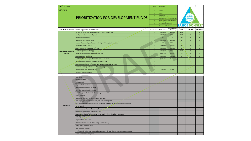| 2020 Update                   |                                                                                             | Sort#                                     | <b>Definitions</b>                           |                                        |        |                                                     |                               |  |  |
|-------------------------------|---------------------------------------------------------------------------------------------|-------------------------------------------|----------------------------------------------|----------------------------------------|--------|-----------------------------------------------------|-------------------------------|--|--|
| 3/20/2020                     | $\mathbf{1}$                                                                                | <b>Needs</b>                              |                                              |                                        |        |                                                     |                               |  |  |
|                               |                                                                                             | $\overline{2}$                            | Wants                                        |                                        |        |                                                     |                               |  |  |
|                               |                                                                                             | $\overline{\mathbf{3}}$<br>$\overline{4}$ | Operational<br>Not in Vision of Tahoe Donner |                                        |        |                                                     |                               |  |  |
|                               | <b>PRIORITIZATION FOR DEVELOPMENT FUNDS</b>                                                 | 5                                         |                                              | Already located in Town of Truckee     |        |                                                     |                               |  |  |
|                               |                                                                                             | $\,$ 6<br>7                               | roject Completed                             | Already located in Talloe Donner       |        |                                                     |                               |  |  |
|                               |                                                                                             | $\overline{\mathbf{8}}$                   | <b>Requires further review</b>               |                                        |        |                                                     |                               |  |  |
|                               |                                                                                             | $\overline{9}$                            | Not viable at this time                      |                                        |        |                                                     |                               |  |  |
| <b>GPC Strategic Review</b>   | Project suggestions from all sources                                                        | Evaluation Team Est. Cost Range           |                                              | Est. Project Length<br><b>Timeline</b> | Const. | <b>Proposed Year Member Bennefit</b><br>(Rated 0-5) | <b>ROI</b><br>(Rated L, M, H) |  |  |
|                               | Parking lot expansion, Northwoods Blvd. streetside parking                                  | $\mathbf{1}$                              | \$100K-\$500K                                | 1-2 Years                              | 2025   | $\overline{4}$                                      | M                             |  |  |
|                               | Parking lot entrance reconfiguration -                                                      | $\mathbf 1$                               | \$100K-\$500K                                | 1-2 Years                              | 2025   | $\sqrt{4}$                                          |                               |  |  |
|                               | <b>Snowplay Snowmaking</b>                                                                  | $\mathbf 1$                               | 200k                                         | $\,$ 1 $\,$                            | 2020   | 5                                                   | H                             |  |  |
|                               | Expand patio heating system -                                                               | 2 <sup>1</sup>                            | \$100K-\$500K                                | 1-2 Years                              | $10+$  | $\overline{\mathbf{r}}$                             | $\overline{\phantom{a}}$      |  |  |
|                               | Replace the current pool heaters with high efficiency boiler system                         | $\overline{2}$                            | <b>NEF</b>                                   | 1-2 Years                              |        |                                                     |                               |  |  |
|                               | Increase pool deck space                                                                    | $\overline{2}$                            | \$100K-\$500K                                | 2-5 Years                              | 2030   | 5                                                   | M                             |  |  |
|                               | Add warm 2.5 ft. deep children's pool                                                       | $\overline{2}$                            | \$100K-\$500K                                | 2-5 Years                              | $10+$  | $\overline{\mathbf{3}}$                             |                               |  |  |
| <b>Trout Creek Recreation</b> | Additional (family) hot tub(s)                                                              | $\mathbf 2$                               | \$100K-\$500K                                | 2-5 Years                              | 2030   | 5 <sup>1</sup>                                      | $\mathsf{M}$                  |  |  |
| Center                        | Develop better use for basketball court area                                                | $\overline{2}$                            | \$500K-\$1M                                  | 2-5 Years                              | $10+$  | $\overline{ }$                                      | -2                            |  |  |
|                               | Add equipment workshop                                                                      | $\overline{2}$                            | \$100K-\$500K                                | 2-5 Years                              | $10+$  | $\mathbf 0$                                         | L.                            |  |  |
|                               | Additional fitness and/or classroom space expansion                                         | $\bf8$                                    | \$500K-\$1M                                  | 5+ Years                               |        |                                                     |                               |  |  |
|                               | Relocate and/or improve massage services space                                              | $\bf8$                                    |                                              |                                        |        |                                                     |                               |  |  |
|                               | Add space needed for office, storage, and other operational need                            | $\bf8$                                    |                                              |                                        |        |                                                     |                               |  |  |
|                               | Performance stage with power at driving range                                               | $\boldsymbol{8}$                          |                                              |                                        |        |                                                     |                               |  |  |
|                               | Additional lap pool lanes from 3 to 5                                                       | $\mathbf{8}$                              | \$1M-\$3M                                    | 5+ Years                               |        |                                                     |                               |  |  |
|                               | Prepare TCRC master plan                                                                    | $\boldsymbol{8}$                          |                                              |                                        |        |                                                     |                               |  |  |
|                               |                                                                                             |                                           |                                              |                                        |        |                                                     |                               |  |  |
|                               | Polo Field                                                                                  |                                           |                                              |                                        |        |                                                     |                               |  |  |
|                               | <b>Community Barn</b>                                                                       |                                           |                                              |                                        |        |                                                     |                               |  |  |
|                               | <b>Fishing Pond</b>                                                                         |                                           |                                              |                                        |        |                                                     |                               |  |  |
|                               | <b>Improve Cell reception</b>                                                               |                                           |                                              |                                        |        |                                                     |                               |  |  |
|                               | mprove snow removal on roads                                                                |                                           |                                              |                                        |        |                                                     |                               |  |  |
|                               | Speedbumps and traffic calming                                                              |                                           |                                              |                                        |        |                                                     |                               |  |  |
|                               | Provide regular shuttles into Euer Valley                                                   |                                           |                                              |                                        |        |                                                     |                               |  |  |
|                               | Saline Upgrade                                                                              |                                           |                                              |                                        |        |                                                     |                               |  |  |
|                               | Expanded Paver Terrace for Food and Beverage                                                |                                           |                                              |                                        |        |                                                     |                               |  |  |
|                               | Indoor playground, day care, mini golf, and climbing wall                                   |                                           |                                              |                                        |        |                                                     |                               |  |  |
| <b>IDEAS LIST</b>             | Coordinate with existing community efforts to provide additional Housing opportunities      |                                           |                                              |                                        |        |                                                     |                               |  |  |
|                               | Ferris Wheel                                                                                |                                           |                                              |                                        |        |                                                     |                               |  |  |
|                               | Prepare Master Plan for Cluster Mailboxes                                                   |                                           |                                              |                                        |        |                                                     |                               |  |  |
|                               | Community garden and composting site                                                        |                                           |                                              |                                        |        |                                                     |                               |  |  |
|                               | Seasonal ice skating/roller skating; as currently offered elsewhere in Truckee              |                                           |                                              |                                        |        |                                                     |                               |  |  |
|                               | Dressage Court                                                                              |                                           |                                              |                                        |        |                                                     |                               |  |  |
|                               | <b>Improved Boarder Pens</b>                                                                |                                           |                                              |                                        |        |                                                     |                               |  |  |
|                               | Chairlift to Sunrise Bowl - (Long range consideration)                                      |                                           |                                              |                                        |        |                                                     |                               |  |  |
|                               | Lodge at the top Eagle Rock                                                                 |                                           |                                              |                                        |        |                                                     |                               |  |  |
|                               | New Backside Chairlift                                                                      |                                           |                                              |                                        |        |                                                     |                               |  |  |
|                               | ~25) New Ski in/Ski out residential properties, with new chairlift access into Sunrise Bowl |                                           |                                              |                                        |        |                                                     |                               |  |  |
|                               | Beach Bar on slab with power                                                                |                                           |                                              |                                        |        |                                                     |                               |  |  |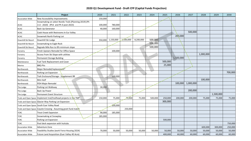## **2020 Q1 Development Fund - Draft CFP (Capital Funds Projection)**

|                         | Project                                                             | 2020    | 2021       | 2022      | 2023      | 2024    | 2025    | 2026      | 2027      | 2028      | 2029      | 2030    |
|-------------------------|---------------------------------------------------------------------|---------|------------|-----------|-----------|---------|---------|-----------|-----------|-----------|-----------|---------|
| <b>Association Wide</b> | New Accessibility Improvements                                      | 150,000 |            |           |           |         |         |           |           |           |           |         |
|                         | Snowmaking on select Nordic Trails (Planning 2019) (Ph              |         |            |           |           |         |         |           |           |           |           |         |
| ACAC                    | 1+2 - 2020) (Ph3 and Ph 4 post 2023)                                | 100,000 | 780,000    |           |           |         |         |           |           |           |           |         |
| <b>ACAC</b>             | <b>Back Up Generator</b>                                            | 40,000  | 160,000    |           |           |         |         |           |           |           |           |         |
| <b>ACAC</b>             | Cook House with Restrooms In Eur Valley                             |         |            |           |           |         |         |           | 500,000   |           |           |         |
| ACAC                    | Snowmelt North Parking Lot                                          |         |            |           |           |         |         | 200,000   |           |           |           |         |
| Downhill Ski Resort     | Downhill Ski Lodge                                                  | 350,000 | 1,150,000  | 1,500,000 | 8,200,000 | 500,000 |         |           |           |           |           |         |
| Downhill Ski Resort     | Snowmaking to Eagle Rock                                            |         |            |           |           | 550,000 |         |           |           |           |           |         |
| Downhill Ski Resort     | Regrade Mile Run to 8% minimum slope                                |         |            |           |           | 500,000 |         |           |           |           |           |         |
| Forestry                | Finish Upstairs Remodel for Office Space                            |         | 100,000    |           |           |         |         |           |           |           |           |         |
| Forestry                | Access From Ski Slope with utilities                                |         |            |           |           |         |         |           |           | 1,000,000 |           |         |
| Forestry                | Permanent Storage Building                                          |         |            |           |           |         |         | 1,500,000 |           |           |           |         |
| Maintenance             | Fuel Tank Replacement and Cover                                     |         |            |           |           |         | 500,000 |           |           |           |           |         |
| Marina                  | <b>BBQ Pits</b>                                                     |         |            |           |           |         | 25,000  |           |           |           |           |         |
| Northwoods              | Major Remodel/replacement*                                          |         |            |           |           |         |         |           |           |           |           |         |
| Northwoods              | Parking Lot Expansion                                               |         |            |           |           |         |         |           |           |           |           | 700,000 |
| Northwoods              | Trah Enclosure/Storage - Supplement RR                              |         | 100,000    |           |           |         |         |           |           |           |           |         |
| Northwoods              | Mini Golf                                                           |         |            |           |           |         |         |           |           | 100,000   |           |         |
| Northwoods              | POH Major Remodel                                                   |         |            | n.        |           |         |         | 100,000   | 1,000,000 |           |           |         |
| The Lodge               | Parking Lot Walkway                                                 | 30,000  |            |           |           |         |         |           |           |           |           |         |
| The Lodge               | Back Up Power                                                       |         |            |           |           |         |         |           | 200,000   |           |           |         |
| The Lodge               | Permanent Event Structure                                           |         |            |           |           |         |         |           |           |           | 1,500,000 |         |
|                         | Trails and Open Space Implement trail/trailhead projects in the TMP | 150,000 | 75,000     | 75,000    | 75,000    | 500,000 | 250,000 | 200,000   | 200,000   | 75,000    | 75,000    | 75,000  |
|                         | Trails and Open Space Glacier Way Parking Lot Expansion             |         |            |           |           |         | 300,000 |           |           |           |           |         |
|                         | Trails and Open Space South Euer Valley Road                        |         | $-100,000$ |           |           |         |         |           |           |           |           |         |
|                         | Trails and Open Space Coyote Crossing - Assuming grant fund match   |         |            | 250,000   |           |         |         |           |           |           |           |         |
| <b>TCRC</b>             | <b>Trout Creek Expansion</b>                                        | 90,000  | 185,000    |           |           |         |         |           |           |           |           |         |
| <b>TCRC</b>             | Snowmaking at Snowplay                                              | 185,000 |            |           |           |         |         |           |           |           |           |         |
| <b>TCRC</b>             | Parking Lot Expansion                                               |         |            |           |           |         | 500,000 |           |           |           |           |         |
| <b>TCRC</b>             | Pool deck expansion with huttubs                                    |         |            |           |           |         |         |           |           |           |           | 750,000 |
| <b>Association Wide</b> | Adventure Zone                                                      |         |            |           |           |         |         |           |           | 600,000   | 300,000   | 250,000 |
| <b>Association Wide</b> | Feasibility Studies (work Force Housing 2024)                       | 70,000  | 50,000     | 50,000    | 50,000    | 50,000  | 50,000  | 50,000    | 50,000    | 50,000    | 50,000    | 50,000  |
| <b>Association Wide</b> | Future Land Acquisition (Euer Valley 40 Acre)                       |         |            |           |           |         | 400,000 | 60,000    | 60,000    | 60,000    | 60,000    | 60,000  |